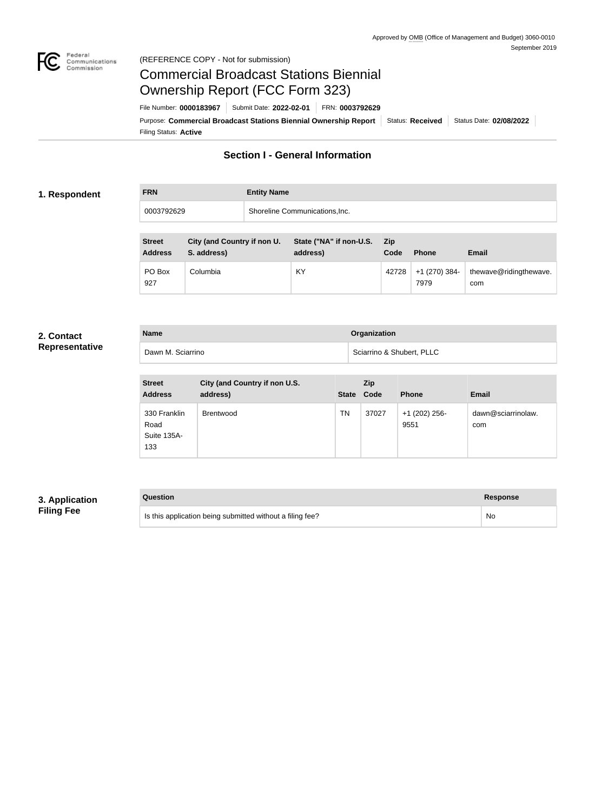

#### Federal<br>Communications<br>Commission (REFERENCE COPY - Not for submission)

# Commercial Broadcast Stations Biennial Ownership Report (FCC Form 323)

Filing Status: **Active** Purpose: Commercial Broadcast Stations Biennial Ownership Report Status: Received Status Date: 02/08/2022 File Number: **0000183967** Submit Date: **2022-02-01** FRN: **0003792629**

# **Section I - General Information**

#### **1. Respondent**

# **FRN Entity Name** 0003792629 Shoreline Communications,Inc.

| <b>Street</b><br><b>Address</b> | City (and Country if non U.<br>S. address) | State ("NA" if non-U.S.<br>address) | Zip<br>Code | <b>Phone</b>          | Email                         |
|---------------------------------|--------------------------------------------|-------------------------------------|-------------|-----------------------|-------------------------------|
| PO Box<br>927                   | Columbia                                   | KY                                  | 42728       | +1 (270) 384-<br>7979 | thewave@ridingthewave.<br>com |

#### **2. Contact Representative**

| Representative |  |
|----------------|--|
|----------------|--|

| <b>Name</b>       | Organization              |
|-------------------|---------------------------|
| Dawn M. Sciarrino | Sciarrino & Shubert, PLLC |

| <b>Street</b><br><b>Address</b>            | City (and Country if non U.S.<br>address) | State Code | Zip   | <b>Phone</b>            | <b>Email</b>              |
|--------------------------------------------|-------------------------------------------|------------|-------|-------------------------|---------------------------|
| 330 Franklin<br>Road<br>Suite 135A-<br>133 | <b>Brentwood</b>                          | TN         | 37027 | $+1$ (202) 256-<br>9551 | dawn@sciarrinolaw.<br>com |

## **3. Application Filing Fee**

# **Question Response** Is this application being submitted without a filing fee? No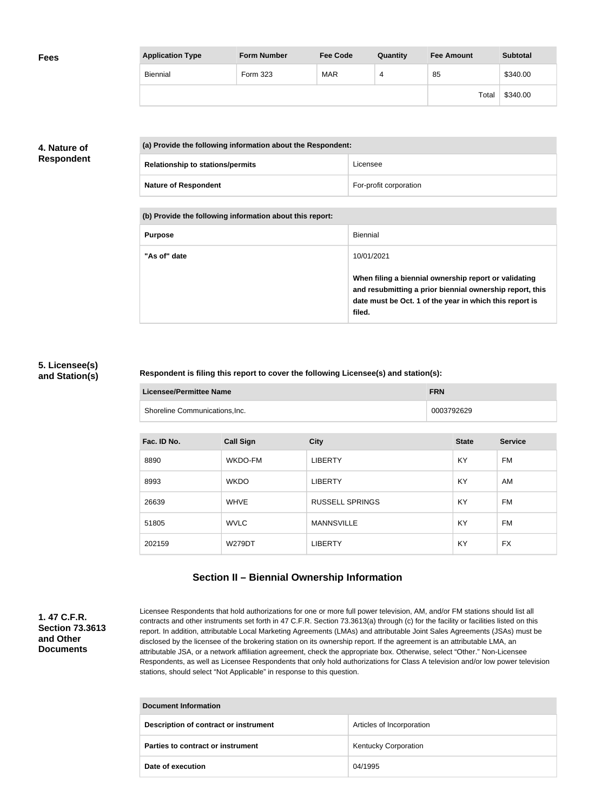| <b>Fees</b> | <b>Application Type</b> | <b>Form Number</b> | <b>Fee Code</b> | Quantity | <b>Fee Amount</b> | <b>Subtotal</b> |
|-------------|-------------------------|--------------------|-----------------|----------|-------------------|-----------------|
|             | Biennial                | Form 323           | <b>MAR</b>      | 4        | 85                | \$340.00        |
|             |                         |                    |                 |          | Total             | \$340.00        |

## **4. Nature of Respondent**

| (a) Provide the following information about the Respondent: |                        |
|-------------------------------------------------------------|------------------------|
| <b>Relationship to stations/permits</b>                     | Licensee               |
| <b>Nature of Respondent</b>                                 | For-profit corporation |

**(b) Provide the following information about this report:**

| <b>Purpose</b> | Biennial                                                                                                                                                                               |
|----------------|----------------------------------------------------------------------------------------------------------------------------------------------------------------------------------------|
| "As of" date   | 10/01/2021                                                                                                                                                                             |
|                | When filing a biennial ownership report or validating<br>and resubmitting a prior biennial ownership report, this<br>date must be Oct. 1 of the year in which this report is<br>filed. |

#### **5. Licensee(s) and Station(s)**

#### **Respondent is filing this report to cover the following Licensee(s) and station(s):**

| Licensee/Permittee Name        | <b>FRN</b> |
|--------------------------------|------------|
| Shoreline Communications, Inc. | 0003792629 |

| Fac. ID No. | <b>Call Sign</b> | <b>City</b>            | <b>State</b> | <b>Service</b> |
|-------------|------------------|------------------------|--------------|----------------|
| 8890        | WKDO-FM          | <b>LIBERTY</b>         | KY           | FM             |
| 8993        | <b>WKDO</b>      | <b>LIBERTY</b>         | <b>KY</b>    | AM             |
| 26639       | <b>WHVE</b>      | <b>RUSSELL SPRINGS</b> | KY           | FM             |
| 51805       | <b>WVLC</b>      | <b>MANNSVILLE</b>      | <b>KY</b>    | FM             |
| 202159      | <b>W279DT</b>    | <b>LIBERTY</b>         | KY           | <b>FX</b>      |

# **Section II – Biennial Ownership Information**

### **1. 47 C.F.R. Section 73.3613 and Other Documents**

Licensee Respondents that hold authorizations for one or more full power television, AM, and/or FM stations should list all contracts and other instruments set forth in 47 C.F.R. Section 73.3613(a) through (c) for the facility or facilities listed on this report. In addition, attributable Local Marketing Agreements (LMAs) and attributable Joint Sales Agreements (JSAs) must be disclosed by the licensee of the brokering station on its ownership report. If the agreement is an attributable LMA, an attributable JSA, or a network affiliation agreement, check the appropriate box. Otherwise, select "Other." Non-Licensee Respondents, as well as Licensee Respondents that only hold authorizations for Class A television and/or low power television stations, should select "Not Applicable" in response to this question.

| Document Information                  |                             |  |
|---------------------------------------|-----------------------------|--|
| Description of contract or instrument | Articles of Incorporation   |  |
| Parties to contract or instrument     | <b>Kentucky Corporation</b> |  |
| Date of execution                     | 04/1995                     |  |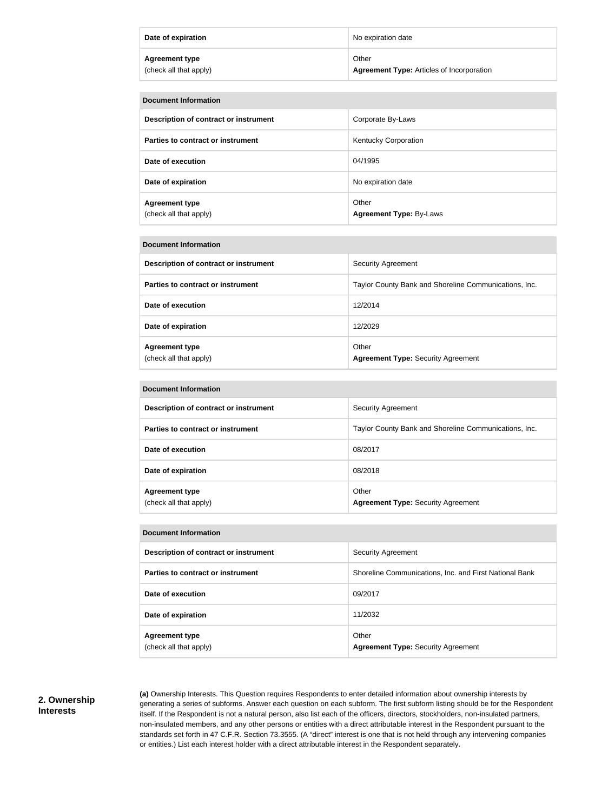| Date of expiration     | No expiration date                               |
|------------------------|--------------------------------------------------|
| <b>Agreement type</b>  | Other                                            |
| (check all that apply) | <b>Agreement Type: Articles of Incorporation</b> |

| <b>Document Information</b>                     |                                         |  |
|-------------------------------------------------|-----------------------------------------|--|
| Description of contract or instrument           | Corporate By-Laws                       |  |
| Parties to contract or instrument               | Kentucky Corporation                    |  |
| Date of execution                               | 04/1995                                 |  |
| Date of expiration                              | No expiration date                      |  |
| <b>Agreement type</b><br>(check all that apply) | Other<br><b>Agreement Type: By-Laws</b> |  |

| Document Information                            |                                                       |  |
|-------------------------------------------------|-------------------------------------------------------|--|
| Description of contract or instrument           | <b>Security Agreement</b>                             |  |
| Parties to contract or instrument               | Taylor County Bank and Shoreline Communications, Inc. |  |
| Date of execution                               | 12/2014                                               |  |
| Date of expiration                              | 12/2029                                               |  |
| <b>Agreement type</b><br>(check all that apply) | Other<br><b>Agreement Type: Security Agreement</b>    |  |

| <b>Document Information</b>                     |                                                       |  |
|-------------------------------------------------|-------------------------------------------------------|--|
| Description of contract or instrument           | <b>Security Agreement</b>                             |  |
| <b>Parties to contract or instrument</b>        | Taylor County Bank and Shoreline Communications, Inc. |  |
| Date of execution                               | 08/2017                                               |  |
| Date of expiration                              | 08/2018                                               |  |
| <b>Agreement type</b><br>(check all that apply) | Other<br><b>Agreement Type: Security Agreement</b>    |  |

| Description of contract or instrument    | <b>Security Agreement</b>                              |
|------------------------------------------|--------------------------------------------------------|
| <b>Parties to contract or instrument</b> | Shoreline Communications, Inc. and First National Bank |
| Date of execution                        | 09/2017                                                |
| Date of expiration                       | 11/2032                                                |
| <b>Agreement type</b>                    | Other                                                  |
| (check all that apply)                   | <b>Agreement Type: Security Agreement</b>              |

#### **2. Ownership Interests**

**Contract Contract Contract** 

**(a)** Ownership Interests. This Question requires Respondents to enter detailed information about ownership interests by generating a series of subforms. Answer each question on each subform. The first subform listing should be for the Respondent itself. If the Respondent is not a natural person, also list each of the officers, directors, stockholders, non-insulated partners, non-insulated members, and any other persons or entities with a direct attributable interest in the Respondent pursuant to the standards set forth in 47 C.F.R. Section 73.3555. (A "direct" interest is one that is not held through any intervening companies or entities.) List each interest holder with a direct attributable interest in the Respondent separately.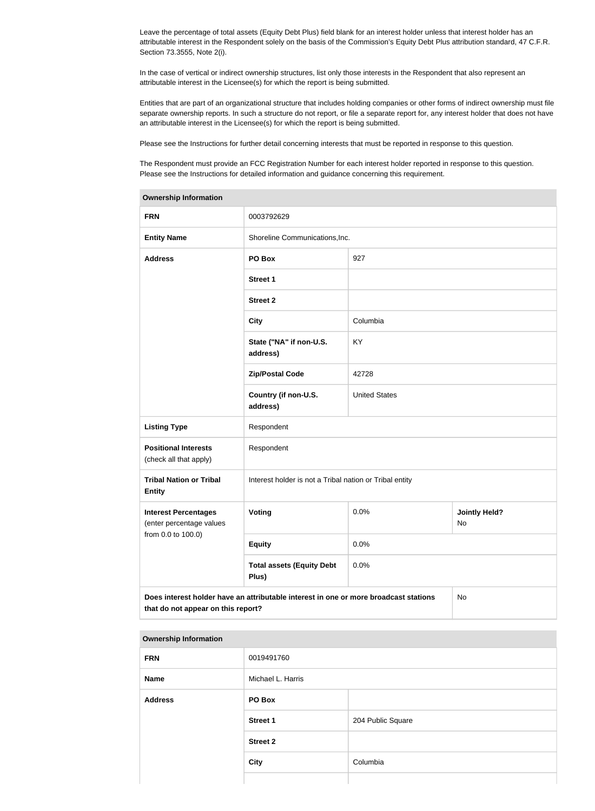Leave the percentage of total assets (Equity Debt Plus) field blank for an interest holder unless that interest holder has an attributable interest in the Respondent solely on the basis of the Commission's Equity Debt Plus attribution standard, 47 C.F.R. Section 73.3555, Note 2(i).

In the case of vertical or indirect ownership structures, list only those interests in the Respondent that also represent an attributable interest in the Licensee(s) for which the report is being submitted.

Entities that are part of an organizational structure that includes holding companies or other forms of indirect ownership must file separate ownership reports. In such a structure do not report, or file a separate report for, any interest holder that does not have an attributable interest in the Licensee(s) for which the report is being submitted.

Please see the Instructions for further detail concerning interests that must be reported in response to this question.

The Respondent must provide an FCC Registration Number for each interest holder reported in response to this question. Please see the Instructions for detailed information and guidance concerning this requirement.

| Ownership information                                                                                                            |                                                         |                      |  |
|----------------------------------------------------------------------------------------------------------------------------------|---------------------------------------------------------|----------------------|--|
| <b>FRN</b>                                                                                                                       | 0003792629                                              |                      |  |
| <b>Entity Name</b>                                                                                                               | Shoreline Communications, Inc.                          |                      |  |
| <b>Address</b>                                                                                                                   | PO Box                                                  | 927                  |  |
|                                                                                                                                  | Street 1                                                |                      |  |
|                                                                                                                                  | <b>Street 2</b>                                         |                      |  |
|                                                                                                                                  | <b>City</b>                                             | Columbia             |  |
|                                                                                                                                  | State ("NA" if non-U.S.<br>address)                     | KY                   |  |
|                                                                                                                                  | <b>Zip/Postal Code</b>                                  | 42728                |  |
|                                                                                                                                  | Country (if non-U.S.<br>address)                        | <b>United States</b> |  |
| <b>Listing Type</b>                                                                                                              | Respondent                                              |                      |  |
| <b>Positional Interests</b><br>(check all that apply)                                                                            | Respondent                                              |                      |  |
| <b>Tribal Nation or Tribal</b><br><b>Entity</b>                                                                                  | Interest holder is not a Tribal nation or Tribal entity |                      |  |
| <b>Interest Percentages</b><br>(enter percentage values                                                                          | <b>Voting</b><br>0.0%<br><b>Jointly Held?</b><br>No     |                      |  |
| from 0.0 to 100.0)                                                                                                               | <b>Equity</b>                                           | 0.0%                 |  |
|                                                                                                                                  | <b>Total assets (Equity Debt</b><br>Plus)               | 0.0%                 |  |
| Does interest holder have an attributable interest in one or more broadcast stations<br>No<br>that do not appear on this report? |                                                         |                      |  |

#### **Ownership Information**

#### **Ownership Information**

| <b>FRN</b>     | 0019491760        |                   |
|----------------|-------------------|-------------------|
| Name           | Michael L. Harris |                   |
| <b>Address</b> | PO Box            |                   |
|                | <b>Street 1</b>   | 204 Public Square |
|                | <b>Street 2</b>   |                   |
|                | <b>City</b>       | Columbia          |
|                |                   |                   |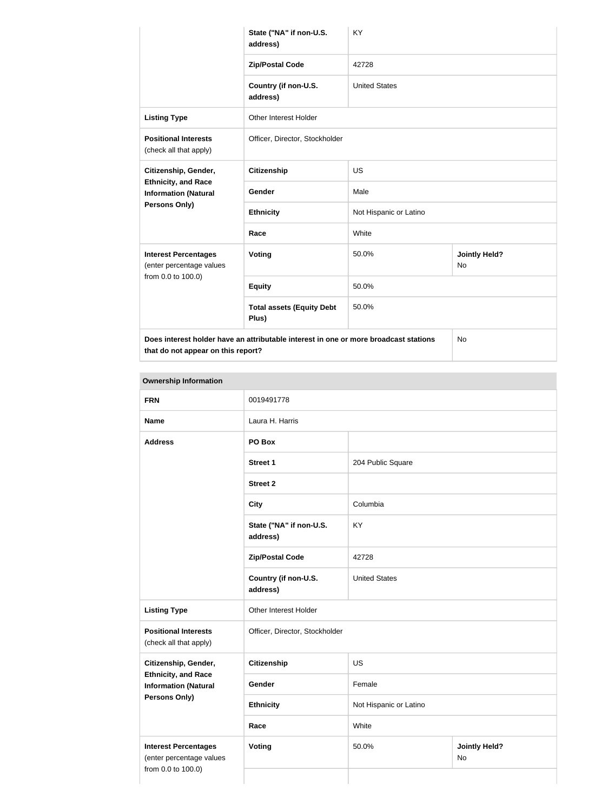|                                                                                      | State ("NA" if non-U.S.<br>address)       | KY                     |                            |
|--------------------------------------------------------------------------------------|-------------------------------------------|------------------------|----------------------------|
|                                                                                      | <b>Zip/Postal Code</b>                    | 42728                  |                            |
|                                                                                      | Country (if non-U.S.<br>address)          | <b>United States</b>   |                            |
| <b>Listing Type</b>                                                                  | Other Interest Holder                     |                        |                            |
| <b>Positional Interests</b><br>(check all that apply)                                | Officer, Director, Stockholder            |                        |                            |
| Citizenship, Gender,<br><b>Ethnicity, and Race</b><br><b>Information (Natural</b>    | <b>Citizenship</b>                        | <b>US</b>              |                            |
|                                                                                      | Gender                                    | Male                   |                            |
| <b>Persons Only)</b>                                                                 | <b>Ethnicity</b>                          | Not Hispanic or Latino |                            |
|                                                                                      | Race                                      | White                  |                            |
| <b>Interest Percentages</b><br>(enter percentage values                              | Voting                                    | 50.0%                  | <b>Jointly Held?</b><br>No |
| from 0.0 to 100.0)                                                                   | <b>Equity</b>                             | 50.0%                  |                            |
|                                                                                      | <b>Total assets (Equity Debt</b><br>Plus) | 50.0%                  |                            |
| Does interest holder have an attributable interest in one or more broadcast stations |                                           | <b>No</b>              |                            |

**that do not appear on this report?**

| <b>Ownership Information</b>                                                  |                                                             |                      |                            |
|-------------------------------------------------------------------------------|-------------------------------------------------------------|----------------------|----------------------------|
| <b>FRN</b>                                                                    | 0019491778                                                  |                      |                            |
| <b>Name</b>                                                                   | Laura H. Harris                                             |                      |                            |
| <b>Address</b>                                                                | PO Box                                                      |                      |                            |
|                                                                               | <b>Street 1</b>                                             | 204 Public Square    |                            |
|                                                                               | <b>Street 2</b>                                             |                      |                            |
|                                                                               | <b>City</b>                                                 | Columbia             |                            |
|                                                                               | State ("NA" if non-U.S.<br>address)                         | KY                   |                            |
|                                                                               | <b>Zip/Postal Code</b>                                      | 42728                |                            |
|                                                                               | Country (if non-U.S.<br>address)                            | <b>United States</b> |                            |
| <b>Listing Type</b>                                                           | Other Interest Holder                                       |                      |                            |
| <b>Positional Interests</b><br>(check all that apply)                         | Officer, Director, Stockholder                              |                      |                            |
| Citizenship, Gender,                                                          | US<br><b>Citizenship</b>                                    |                      |                            |
| <b>Ethnicity, and Race</b><br><b>Information (Natural</b>                     | Gender                                                      | Female               |                            |
| <b>Persons Only)</b>                                                          | Not Hispanic or Latino<br><b>Ethnicity</b><br>White<br>Race |                      |                            |
|                                                                               |                                                             |                      |                            |
| <b>Interest Percentages</b><br>(enter percentage values<br>from 0.0 to 100.0) | <b>Voting</b>                                               | 50.0%                | <b>Jointly Held?</b><br>No |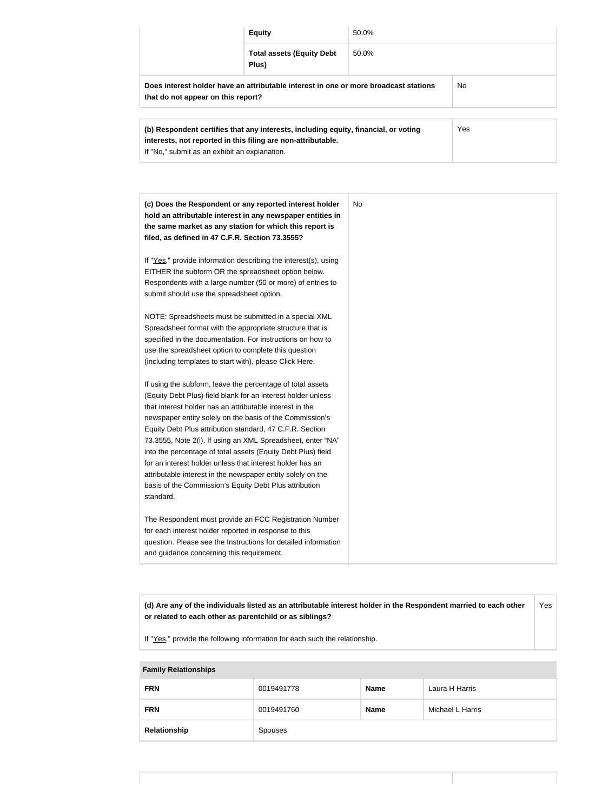|                                                                                                                            | <b>Equity</b>                             | 50.0% |     |
|----------------------------------------------------------------------------------------------------------------------------|-------------------------------------------|-------|-----|
|                                                                                                                            | <b>Total assets (Equity Debt</b><br>Plus) | 50.0% |     |
| Does interest holder have an attributable interest in one or more broadcast stations<br>that do not appear on this report? |                                           |       | No. |

| (b) Respondent certifies that any interests, including equity, financial, or voting | Yes |
|-------------------------------------------------------------------------------------|-----|
| interests, not reported in this filing are non-attributable.                        |     |
| If "No," submit as an exhibit an explanation.                                       |     |

| (c) Does the Respondent or any reported interest holder<br>hold an attributable interest in any newspaper entities in<br>the same market as any station for which this report is<br>filed, as defined in 47 C.F.R. Section 73.3555?                                                                                                                                                                                                                                                                                                                                                                                                              | <b>No</b> |
|--------------------------------------------------------------------------------------------------------------------------------------------------------------------------------------------------------------------------------------------------------------------------------------------------------------------------------------------------------------------------------------------------------------------------------------------------------------------------------------------------------------------------------------------------------------------------------------------------------------------------------------------------|-----------|
| If "Yes," provide information describing the interest(s), using<br>EITHER the subform OR the spreadsheet option below.<br>Respondents with a large number (50 or more) of entries to<br>submit should use the spreadsheet option.                                                                                                                                                                                                                                                                                                                                                                                                                |           |
| NOTE: Spreadsheets must be submitted in a special XML<br>Spreadsheet format with the appropriate structure that is<br>specified in the documentation. For instructions on how to<br>use the spreadsheet option to complete this question<br>(including templates to start with), please Click Here.                                                                                                                                                                                                                                                                                                                                              |           |
| If using the subform, leave the percentage of total assets<br>(Equity Debt Plus) field blank for an interest holder unless<br>that interest holder has an attributable interest in the<br>newspaper entity solely on the basis of the Commission's<br>Equity Debt Plus attribution standard, 47 C.F.R. Section<br>73.3555, Note 2(i). If using an XML Spreadsheet, enter "NA"<br>into the percentage of total assets (Equity Debt Plus) field<br>for an interest holder unless that interest holder has an<br>attributable interest in the newspaper entity solely on the<br>basis of the Commission's Equity Debt Plus attribution<br>standard. |           |
| The Respondent must provide an FCC Registration Number<br>for each interest holder reported in response to this<br>question. Please see the Instructions for detailed information<br>and guidance concerning this requirement.                                                                                                                                                                                                                                                                                                                                                                                                                   |           |

**(d) Are any of the individuals listed as an attributable interest holder in the Respondent married to each other or related to each other as parentchild or as siblings?** Yes

If "Yes," provide the following information for each such the relationship.

| <b>Family Relationships</b> |            |             |                  |
|-----------------------------|------------|-------------|------------------|
| <b>FRN</b>                  | 0019491778 | <b>Name</b> | Laura H Harris   |
| <b>FRN</b>                  | 0019491760 | <b>Name</b> | Michael L Harris |
| Relationship                | Spouses    |             |                  |